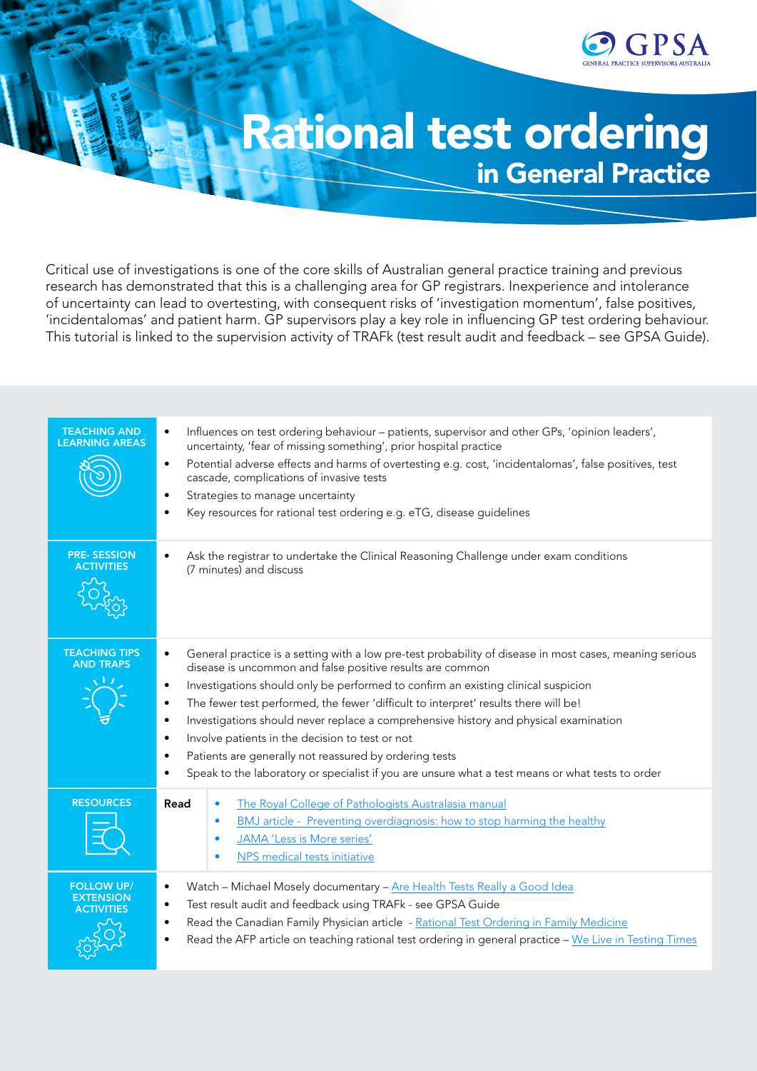

# Rational test ordering in General Practice

Critical use of investigations is one of the core skills of Australian general practice training and previous research has demonstrated that this is a challenging area for GP registrars. Inexperience and intolerance of uncertainty can lead to overtesting, with consequent risks of 'investigation momentum', false positives, 'incidentalomas' and patient harm. GP supervisors play a key role in influencing GP test ordering behaviour. This tutorial is linked to the supervision activity of TRAFk (test result audit and feedback – see GPSA Guide).

| <b>TEACHING AND</b><br><b>LEARNING AREAS</b>               | Influences on test ordering behaviour - patients, supervisor and other GPs, 'opinion leaders',<br>$\bullet$<br>uncertainty, 'fear of missing something', prior hospital practice<br>Potential adverse effects and harms of overtesting e.g. cost, 'incidentalomas', false positives, test<br>$\bullet$<br>cascade, complications of invasive tests<br>Strategies to manage uncertainty<br>$\bullet$<br>Key resources for rational test ordering e.g. eTG, disease guidelines<br>$\bullet$                                                                                                                                                                                                                                                            |
|------------------------------------------------------------|------------------------------------------------------------------------------------------------------------------------------------------------------------------------------------------------------------------------------------------------------------------------------------------------------------------------------------------------------------------------------------------------------------------------------------------------------------------------------------------------------------------------------------------------------------------------------------------------------------------------------------------------------------------------------------------------------------------------------------------------------|
| <b>PRE-SESSION</b><br><b>ACTIVITIES</b>                    | Ask the registrar to undertake the Clinical Reasoning Challenge under exam conditions<br>$\bullet$<br>(7 minutes) and discuss                                                                                                                                                                                                                                                                                                                                                                                                                                                                                                                                                                                                                        |
| <b>TEACHING TIPS</b><br><b>AND TRAPS</b>                   | General practice is a setting with a low pre-test probability of disease in most cases, meaning serious<br>$\bullet$<br>disease is uncommon and false positive results are common<br>Investigations should only be performed to confirm an existing clinical suspicion<br>$\bullet$<br>The fewer test performed, the fewer 'difficult to interpret' results there will be!<br>$\bullet$<br>Investigations should never replace a comprehensive history and physical examination<br>$\bullet$<br>Involve patients in the decision to test or not<br>$\bullet$<br>Patients are generally not reassured by ordering tests<br>$\bullet$<br>Speak to the laboratory or specialist if you are unsure what a test means or what tests to order<br>$\bullet$ |
| <b>RESOURCES</b>                                           | Read<br>The Royal College of Pathologists Australasia manual<br>$\bullet$<br>BMJ article - Preventing overdiagnosis: how to stop harming the healthy<br>$\bullet$<br>JAMA 'Less is More series'<br>$\bullet$<br>NPS medical tests initiative<br>$\bullet$                                                                                                                                                                                                                                                                                                                                                                                                                                                                                            |
| <b>FOLLOW UP/</b><br><b>EXTENSION</b><br><b>ACTIVITIES</b> | Watch - Michael Mosely documentary - Are Health Tests Really a Good Idea<br>$\bullet$<br>Test result audit and feedback using TRAFk - see GPSA Guide<br>$\bullet$<br>Read the Canadian Family Physician article - Rational Test Ordering in Family Medicine<br>$\bullet$<br>Read the AFP article on teaching rational test ordering in general practice - We Live in Testing Times<br>$\bullet$                                                                                                                                                                                                                                                                                                                                                      |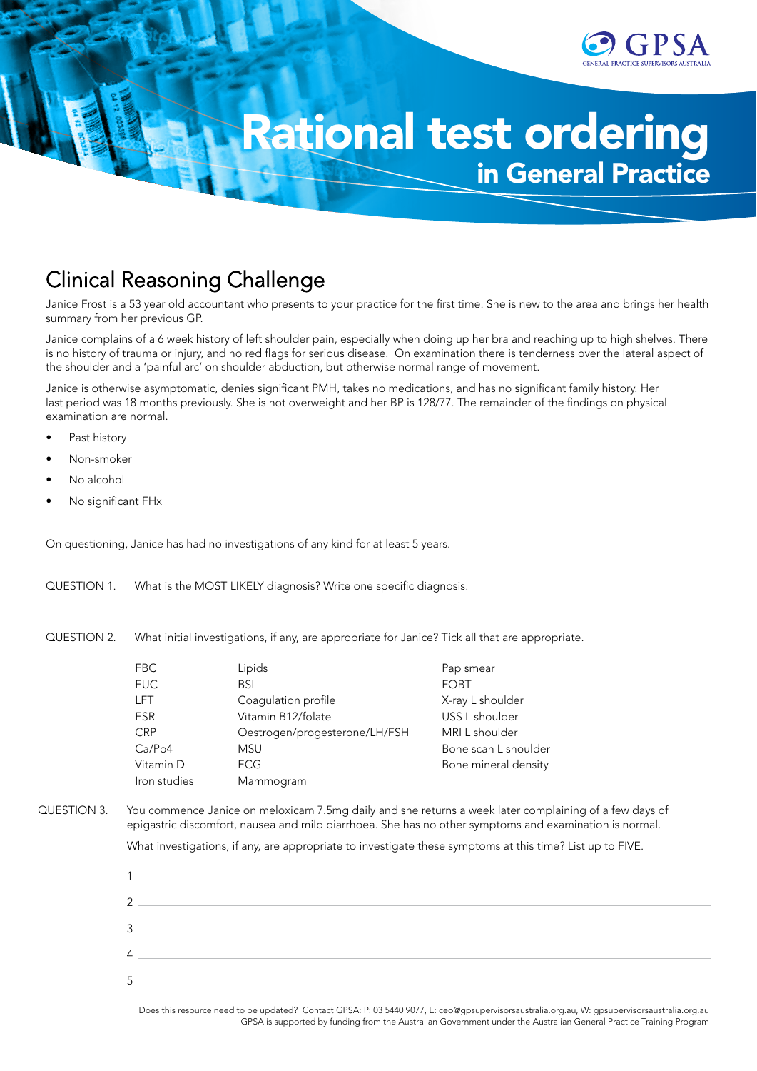

# Rational test ordering in General Practice

## **Clinical Reasoning Challenge**

Janice Frost is a 53 year old accountant who presents to your practice for the first time. She is new to the area and brings her health summary from her previous GP.

Janice complains of a 6 week history of left shoulder pain, especially when doing up her bra and reaching up to high shelves. There is no history of trauma or injury, and no red flags for serious disease. On examination there is tenderness over the lateral aspect of the shoulder and a 'painful arc' on shoulder abduction, but otherwise normal range of movement.

Janice is otherwise asymptomatic, denies significant PMH, takes no medications, and has no significant family history. Her last period was 18 months previously. She is not overweight and her BP is 128/77. The remainder of the findings on physical examination are normal.

- Past history
- Non-smoker
- No alcohol
- No significant FHx

On questioning, Janice has had no investigations of any kind for at least 5 years.

QUESTION 1. What is the MOST LIKELY diagnosis? Write one specific diagnosis.

QUESTION 2. What initial investigations, if any, are appropriate for Janice? Tick all that are appropriate.

| FBC                 | Lipids                        | Pap smear            |
|---------------------|-------------------------------|----------------------|
| <b>EUC</b>          | <b>BSL</b>                    | <b>FOBT</b>          |
| <b>LFT</b>          | Coagulation profile           | X-ray L shoulder     |
| <b>ESR</b>          | Vitamin B12/folate            | USS L shoulder       |
| <b>CRP</b>          | Oestrogen/progesterone/LH/FSH | MRI L shoulder       |
| Ca/P <sub>O</sub> 4 | <b>MSU</b>                    | Bone scan L shoulder |
| Vitamin D           | <b>ECG</b>                    | Bone mineral density |
| Iron studies        | Mammogram                     |                      |

QUESTION 3. You commence Janice on meloxicam 7.5mg daily and she returns a week later complaining of a few days of epigastric discomfort, nausea and mild diarrhoea. She has no other symptoms and examination is normal.

What investigations, if any, are appropriate to investigate these symptoms at this time? List up to FIVE.



Does this resource need to be updated? Contact GPSA: P: 03 5440 9077, E: ceo@gpsupervisorsaustralia.org.au, W: gpsupervisorsaustralia.org.au GPSA is supported by funding from the Australian Government under the Australian General Practice Training Program